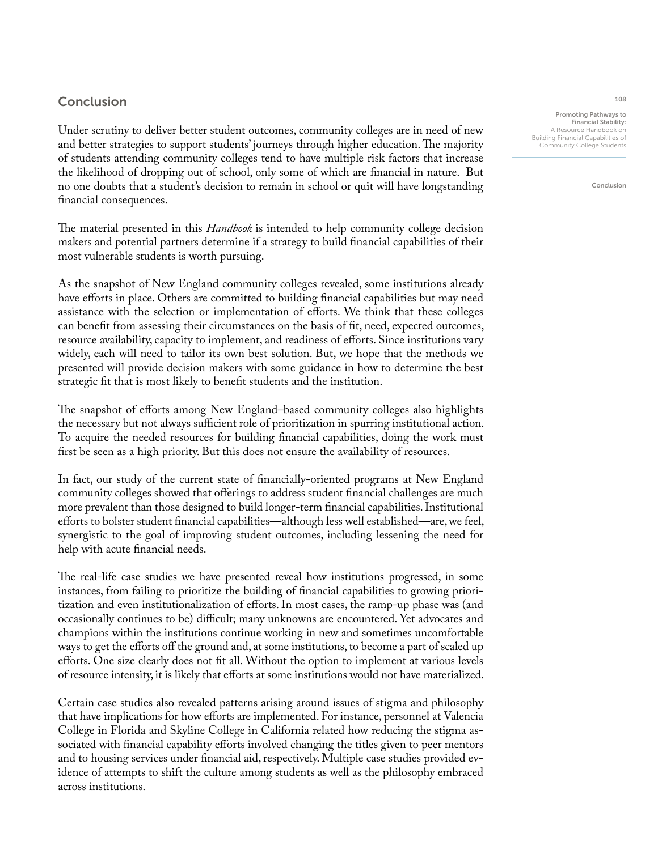## Conclusion

Under scrutiny to deliver better student outcomes, community colleges are in need of new and better strategies to support students' journeys through higher education. The majority of students attending community colleges tend to have multiple risk factors that increase the likelihood of dropping out of school, only some of which are financial in nature. But no one doubts that a student's decision to remain in school or quit will have longstanding financial consequences.

The material presented in this *Handbook* is intended to help community college decision makers and potential partners determine if a strategy to build financial capabilities of their most vulnerable students is worth pursuing.

As the snapshot of New England community colleges revealed, some institutions already have efforts in place. Others are committed to building financial capabilities but may need assistance with the selection or implementation of efforts. We think that these colleges can benefit from assessing their circumstances on the basis of fit, need, expected outcomes, resource availability, capacity to implement, and readiness of efforts. Since institutions vary widely, each will need to tailor its own best solution. But, we hope that the methods we presented will provide decision makers with some guidance in how to determine the best strategic fit that is most likely to benefit students and the institution.

The snapshot of efforts among New England–based community colleges also highlights the necessary but not always sufficient role of prioritization in spurring institutional action. To acquire the needed resources for building financial capabilities, doing the work must first be seen as a high priority. But this does not ensure the availability of resources.

In fact, our study of the current state of financially-oriented programs at New England community colleges showed that offerings to address student financial challenges are much more prevalent than those designed to build longer-term financial capabilities. Institutional efforts to bolster student financial capabilities—although less well established—are, we feel, synergistic to the goal of improving student outcomes, including lessening the need for help with acute financial needs.

The real-life case studies we have presented reveal how institutions progressed, in some instances, from failing to prioritize the building of financial capabilities to growing prioritization and even institutionalization of efforts. In most cases, the ramp-up phase was (and occasionally continues to be) difficult; many unknowns are encountered. Yet advocates and champions within the institutions continue working in new and sometimes uncomfortable ways to get the efforts off the ground and, at some institutions, to become a part of scaled up efforts. One size clearly does not fit all. Without the option to implement at various levels of resource intensity, it is likely that efforts at some institutions would not have materialized.

Certain case studies also revealed patterns arising around issues of stigma and philosophy that have implications for how efforts are implemented. For instance, personnel at Valencia College in Florida and Skyline College in California related how reducing the stigma associated with financial capability efforts involved changing the titles given to peer mentors and to housing services under financial aid, respectively. Multiple case studies provided evidence of attempts to shift the culture among students as well as the philosophy embraced across institutions.

108

Promoting Pathways to Financial Stability: A Resource Handbook on Building Financial Capabilities of Community College Students

Conclusion